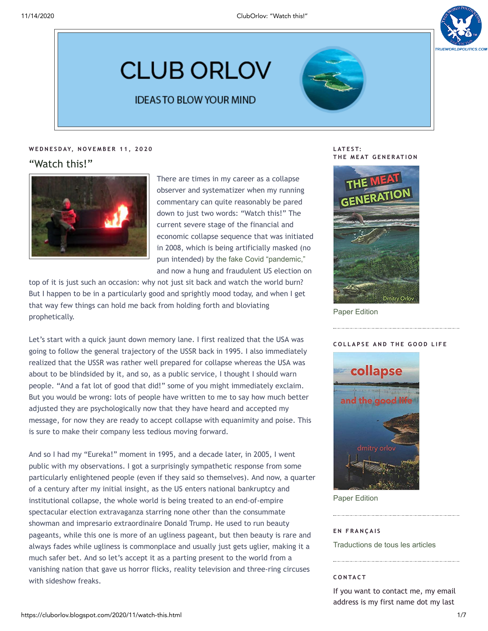

# **CLUB ORLOV**

### **IDEASTO BLOW YOUR MIND**

### **W E D N E S D AY, N O V E M B E R 1 1 , 2 0 2 0**

### "Watch this!"



There are times in my career as a collapse observer and systematizer when my running commentary can quite reasonably be pared down to just two words: "Watch this!" The current severe stage of the financial and economic collapse sequence that was initiated in 2008, which is being artificially masked (no pun intended) by [the fake Covid "pandemic,"](https://swprs.org/covid19-facts/) and now a hung and fraudulent US election on

top of it is just such an occasion: why not just sit back and watch the world burn? But I happen to be in a particularly good and sprightly mood today, and when I get that way few things can hold me back from holding forth and bloviating prophetically.

Let's start with a quick jaunt down memory lane. I first realized that the USA was going to follow the general trajectory of the USSR back in 1995. I also immediately realized that the USSR was rather well prepared for collapse whereas the USA was about to be blindsided by it, and so, as a public service, I thought I should warn people. "And a fat lot of good that did!" some of you might immediately exclaim. But you would be wrong: lots of people have written to me to say how much better adjusted they are psychologically now that they have heard and accepted my message, for now they are ready to accept collapse with equanimity and poise. This is sure to make their company less tedious moving forward.

And so I had my "Eureka!" moment in 1995, and a decade later, in 2005, I went public with my observations. I got a surprisingly sympathetic response from some particularly enlightened people (even if they said so themselves). And now, a quarter of a century after my initial insight, as the US enters national bankruptcy and institutional collapse, the whole world is being treated to an end-of-empire spectacular election extravaganza starring none other than the consummate showman and impresario extraordinaire Donald Trump. He used to run beauty pageants, while this one is more of an ugliness pageant, but then beauty is rare and always fades while ugliness is commonplace and usually just gets uglier, making it a much safer bet. And so let's accept it as a parting present to the world from a vanishing nation that gave us horror flicks, reality television and three-ring circuses with sideshow freaks.

**L AT E S T:**  $T$  **HE MEAT GENERATION** 



[Paper Edition](https://www.amazon.com/dp/1708070060)

### **C O L L A P S E A N D T H E G O O D L I F E**



[Paper Edition](https://www.amazon.com/dp/1731435282)

### **E N F R A N Ç A I S**

[Traductions de tous les articles](http://lesakerfrancophone.fr/category/auteurs/orlov)

### **C O N TA C T**

If you want to contact me, my email address is my first name dot my last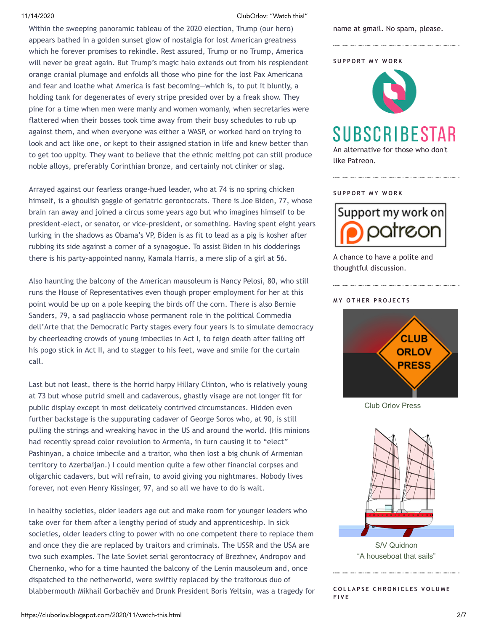11/14/2020 ClubOrlov: "Watch this!"

Within the sweeping panoramic tableau of the 2020 election, Trump (our hero) appears bathed in a golden sunset glow of nostalgia for lost American greatness which he forever promises to rekindle. Rest assured, Trump or no Trump, America will never be great again. But Trump's magic halo extends out from his resplendent orange cranial plumage and enfolds all those who pine for the lost Pax Americana and fear and loathe what America is fast becoming—which is, to put it bluntly, a holding tank for degenerates of every stripe presided over by a freak show. They pine for a time when men were manly and women womanly, when secretaries were flattered when their bosses took time away from their busy schedules to rub up against them, and when everyone was either a WASP, or worked hard on trying to look and act like one, or kept to their assigned station in life and knew better than to get too uppity. They want to believe that the ethnic melting pot can still produce noble alloys, preferably Corinthian bronze, and certainly not clinker or slag.

Arrayed against our fearless orange-hued leader, who at 74 is no spring chicken himself, is a ghoulish gaggle of geriatric gerontocrats. There is Joe Biden, 77, whose brain ran away and joined a circus some years ago but who imagines himself to be president-elect, or senator, or vice-president, or something. Having spent eight years lurking in the shadows as Obama's VP, Biden is as fit to lead as a pig is kosher after rubbing its side against a corner of a synagogue. To assist Biden in his dodderings there is his party-appointed nanny, Kamala Harris, a mere slip of a girl at 56.

Also haunting the balcony of the American mausoleum is Nancy Pelosi, 80, who still runs the House of Representatives even though proper employment for her at this point would be up on a pole keeping the birds off the corn. There is also Bernie Sanders, 79, a sad pagliaccio whose permanent role in the political Commedia dell'Arte that the Democratic Party stages every four years is to simulate democracy by cheerleading crowds of young imbeciles in Act I, to feign death after falling off his pogo stick in Act II, and to stagger to his feet, wave and smile for the curtain call.

Last but not least, there is the horrid harpy Hillary Clinton, who is relatively young at 73 but whose putrid smell and cadaverous, ghastly visage are not longer fit for public display except in most delicately contrived circumstances. Hidden even further backstage is the suppurating cadaver of George Soros who, at 90, is still pulling the strings and wreaking havoc in the US and around the world. (His minions had recently spread color revolution to Armenia, in turn causing it to "elect" Pashinyan, a choice imbecile and a traitor, who then lost a big chunk of Armenian territory to Azerbaijan.) I could mention quite a few other financial corpses and oligarchic cadavers, but will refrain, to avoid giving you nightmares. Nobody lives forever, not even Henry Kissinger, 97, and so all we have to do is wait.

In healthy societies, older leaders age out and make room for younger leaders who take over for them after a lengthy period of study and apprenticeship. In sick societies, older leaders cling to power with no one competent there to replace them and once they die are replaced by traitors and criminals. The USSR and the USA are two such examples. The late Soviet serial gerontocracy of Brezhnev, Andropov and Chernenko, who for a time haunted the balcony of the Lenin mausoleum and, once dispatched to the netherworld, were swiftly replaced by the traitorous duo of blabbermouth Mikhail Gorbachëv and Drunk President Boris Yeltsin, was a tragedy for name at gmail. No spam, please.

**S U P P O R T M Y W O R K**



## SUBSCRIBESTAR

An alternative for those who don't like Patreon.

### **S U P P O R T M Y W O R K**



A chance to have a polite and thoughtful discussion.

### **M Y O T H E R P R O J E C T S**



[Club Orlov Press](http://cluborlovpress.blogspot.com/)



S/V Quidnon ["A houseboat that sails"](http://quidnon.blogspot.com/)

 $E$  **COLLAPSE CHRONICLES VOLUME F I V E**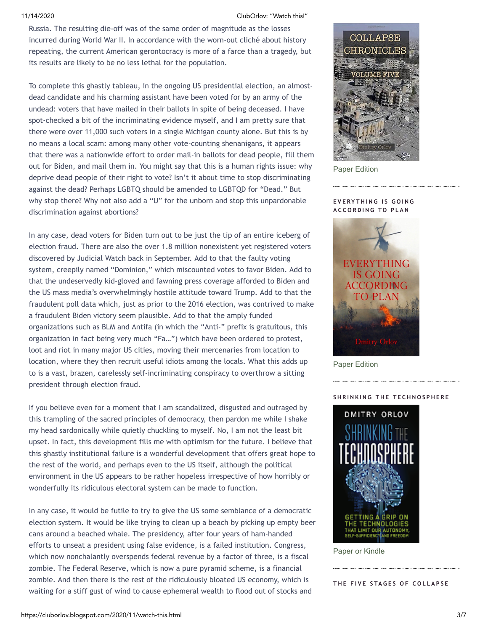11/14/2020 ClubOrlov: "Watch this!"

Russia. The resulting die-off was of the same order of magnitude as the losses incurred during World War II. In accordance with the worn-out cliché about history repeating, the current American gerontocracy is more of a farce than a tragedy, but its results are likely to be no less lethal for the population.

To complete this ghastly tableau, in the ongoing US presidential election, an almostdead candidate and his charming assistant have been voted for by an army of the undead: voters that have mailed in their ballots in spite of being deceased. I have spot-checked a bit of the incriminating evidence myself, and I am pretty sure that there were over 11,000 such voters in a single Michigan county alone. But this is by no means a local scam: among many other vote-counting shenanigans, it appears that there was a nationwide effort to order mail-in ballots for dead people, fill them out for Biden, and mail them in. You might say that this is a human rights issue: why deprive dead people of their right to vote? Isn't it about time to stop discriminating against the dead? Perhaps LGBTQ should be amended to LGBTQD for "Dead." But why stop there? Why not also add a "U" for the unborn and stop this unpardonable discrimination against abortions?

In any case, dead voters for Biden turn out to be just the tip of an entire iceberg of election fraud. There are also the over 1.8 million nonexistent yet registered voters discovered by Judicial Watch back in September. Add to that the faulty voting system, creepily named "Dominion," which miscounted votes to favor Biden. Add to that the undeservedly kid-gloved and fawning press coverage afforded to Biden and the US mass media's overwhelmingly hostile attitude toward Trump. Add to that the fraudulent poll data which, just as prior to the 2016 election, was contrived to make a fraudulent Biden victory seem plausible. Add to that the amply funded organizations such as BLM and Antifa (in which the "Anti-" prefix is gratuitous, this organization in fact being very much "Fa…") which have been ordered to protest, loot and riot in many major US cities, moving their mercenaries from location to location, where they then recruit useful idiots among the locals. What this adds up to is a vast, brazen, carelessly self-incriminating conspiracy to overthrow a sitting president through election fraud.

If you believe even for a moment that I am scandalized, disgusted and outraged by this trampling of the sacred principles of democracy, then pardon me while I shake my head sardonically while quietly chuckling to myself. No, I am not the least bit upset. In fact, this development fills me with optimism for the future. I believe that this ghastly institutional failure is a wonderful development that offers great hope to the rest of the world, and perhaps even to the US itself, although the political environment in the US appears to be rather hopeless irrespective of how horribly or wonderfully its ridiculous electoral system can be made to function.

In any case, it would be futile to try to give the US some semblance of a democratic election system. It would be like trying to clean up a beach by picking up empty beer cans around a beached whale. The presidency, after four years of ham-handed efforts to unseat a president using false evidence, is a failed institution. Congress, which now nonchalantly overspends federal revenue by a factor of three, is a fiscal zombie. The Federal Reserve, which is now a pure pyramid scheme, is a financial zombie. And then there is the rest of the ridiculously bloated US economy, which is waiting for a stiff gust of wind to cause ephemeral wealth to flood out of stocks and



[Paper Edition](https://www.amazon.com/dp/1718787758)

### $E$  **VERYTHING IS GOING A C C O R D I N G T O P L A N**



[Paper Edition](https://www.amazon.com/dp/1976297672)

### $B$  **K R INCORTHERE**



[Paper or Kindle](https://www.amazon.com/dp/0865718385)

**T H E F I V E S TA G E S O F C O L L A P S E**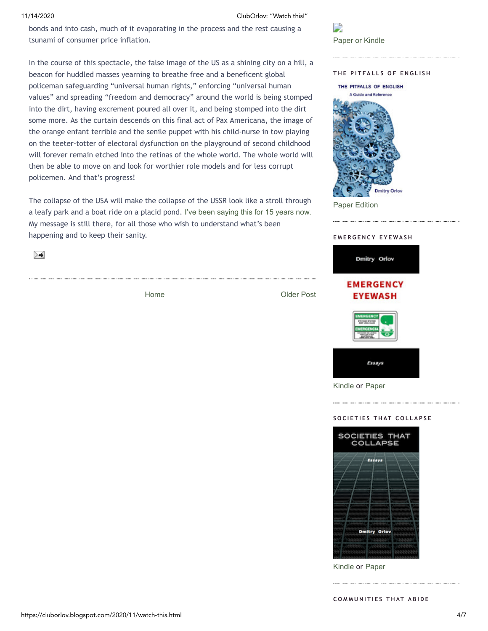11/14/2020 ClubOrlov: "Watch this!"

bonds and into cash, much of it evaporating in the process and the rest causing a tsunami of consumer price inflation.

In the course of this spectacle, the false image of the US as a shining city on a hill, a beacon for huddled masses yearning to breathe free and a beneficent global policeman safeguarding "universal human rights," enforcing "universal human values" and spreading "freedom and democracy" around the world is being stomped into the dirt, having excrement poured all over it, and being stomped into the dirt some more. As the curtain descends on this final act of Pax Americana, the image of the orange enfant terrible and the senile puppet with his child-nurse in tow playing on the teeter-totter of electoral dysfunction on the playground of second childhood will forever remain etched into the retinas of the whole world. The whole world will then be able to move on and look for worthier role models and for less corrupt policemen. And that's progress!

The collapse of the USA will make the collapse of the USSR look like a stroll through a leafy park and a boat ride on a placid pond. [I've been saying this for 15 years now.](https://www.resilience.org/stories/2006-12-04/closing-collapse-gap-ussr-was-better-prepared-collapse-us/) My message is still there, for all those who wish to understand what's been happening and to keep their sanity.

≻≼

[Home](https://cluborlov.blogspot.com/)

[Older Post](https://cluborlov.blogspot.com/2020/10/a-pound-of-flesh.html)



### **T H E P I T FA L L S O F E N G L I S H**



[Paper Edition](http://www.amazon.com/Pitfalls-English-Guide-Reference/dp/1522915567)

### **E M E R G E N C Y E Y E WA S H**



[Kindle](http://www.amazon.com/Emergency-Eyewash-Essays-Dmitry-Orlov-ebook/dp/B01A3OXIA6) or [Paper](https://www.amazon.com/dp/1515331431)

### **S O C I E T I E S T H AT C O L L A P S E**



[Kindle](http://www.amazon.com/gp/product/B01A1HDFH6) or [Paper](https://www.amazon.com/dp/1500782041)

 $CD$  **MMUNITIES THAT ABIDE**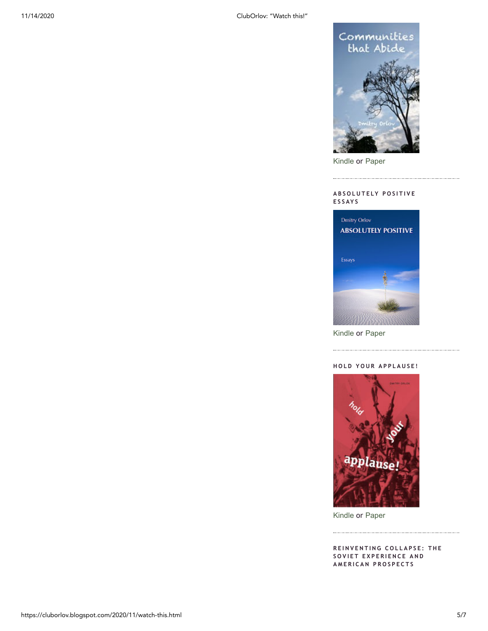

[Kindle](http://www.amazon.com/dp/B00KSR2Z6M) or [Paper](https://www.amazon.com/dp/1500742929)

### **A B S O L U T E LY P O S I T I V E E S S AY S**

. . . . . .



[Kindle](http://www.amazon.com/dp/B008047OTS) or [Paper](https://www.amazon.com/dp/1505813026)

### $HDLD YOUR APPLAUSE!$



[Kindle](http://www.amazon.com/dp/B008ELGPJC) or [Paper](https://www.amazon.com/dp/1500822752)

**R E I N V E N T I N G C O L L A P S E : T H E S O V I E T E X P E R I E N C E A N D A M E R I C A N P R O S P E C T S**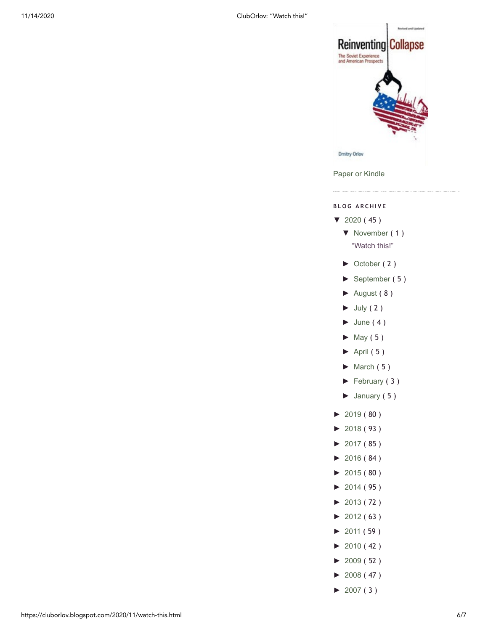

[Paper or Kindle](http://www.amazon.com/Reinventing-Collapse-Experience-American-Prospects/dp/0865716854)

### **B L O G A R C H I V E**

- [▼](javascript:void(0)) [2020](https://cluborlov.blogspot.com/2020/) ( 45 )
	- [▼](javascript:void(0)) [November](https://cluborlov.blogspot.com/2020/11/) ( 1 ) ["Watch this!"](https://cluborlov.blogspot.com/2020/11/watch-this.html)
	- [►](javascript:void(0)) [October](https://cluborlov.blogspot.com/2020/10/) ( 2 )
	- [►](javascript:void(0)) [September](https://cluborlov.blogspot.com/2020/09/) ( 5 )
	- [►](javascript:void(0)) [August](https://cluborlov.blogspot.com/2020/08/) ( 8 )
	- $\blacktriangleright$  [July](https://cluborlov.blogspot.com/2020/07/) (2)
	- $\blacktriangleright$  [June](https://cluborlov.blogspot.com/2020/06/) (4)
	- $\blacktriangleright$  [May](https://cluborlov.blogspot.com/2020/05/) (5)
	- $\blacktriangleright$  [April](https://cluborlov.blogspot.com/2020/04/) (5)
	- $\blacktriangleright$  [March](https://cluborlov.blogspot.com/2020/03/) (5)
	- [►](javascript:void(0)) [February](https://cluborlov.blogspot.com/2020/02/) ( 3 )
	- [►](javascript:void(0)) [January](https://cluborlov.blogspot.com/2020/01/) ( 5 )
- [►](javascript:void(0)) [2019](https://cluborlov.blogspot.com/2019/) ( 80 )
- [►](javascript:void(0)) [2018](https://cluborlov.blogspot.com/2018/) ( 93 )
- $\blacktriangleright$  [2017](https://cluborlov.blogspot.com/2017/) (85)
- [►](javascript:void(0)) [2016](https://cluborlov.blogspot.com/2016/) ( 84 )
- [►](javascript:void(0)) [2015](https://cluborlov.blogspot.com/2015/) ( 80 )
- [►](javascript:void(0)) [2014](https://cluborlov.blogspot.com/2014/) ( 95 )
- [►](javascript:void(0)) [2013](https://cluborlov.blogspot.com/2013/) ( 72 )
- [►](javascript:void(0)) [2012](https://cluborlov.blogspot.com/2012/) ( 63 )
- [►](javascript:void(0)) [2011](https://cluborlov.blogspot.com/2011/) ( 59 )
- $\blacktriangleright$  [2010](https://cluborlov.blogspot.com/2010/) (42)
- [►](javascript:void(0)) [2009](https://cluborlov.blogspot.com/2009/) ( 52 )
- [►](javascript:void(0)) [2008](https://cluborlov.blogspot.com/2008/) ( 47 )
- $\blacktriangleright$  [2007](https://cluborlov.blogspot.com/2007/) (3)